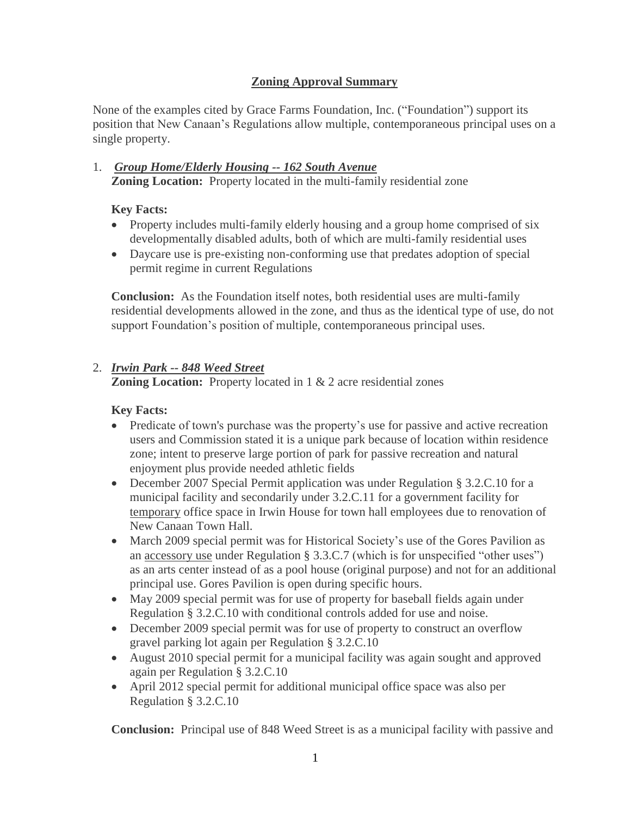# **Zoning Approval Summary**

None of the examples cited by Grace Farms Foundation, Inc. ("Foundation") support its position that New Canaan's Regulations allow multiple, contemporaneous principal uses on a single property.

1. *Group Home/Elderly Housing -- 162 South Avenue* **Zoning Location:** Property located in the multi-family residential zone

# **Key Facts:**

- Property includes multi-family elderly housing and a group home comprised of six developmentally disabled adults, both of which are multi-family residential uses
- Daycare use is pre-existing non-conforming use that predates adoption of special permit regime in current Regulations

**Conclusion:** As the Foundation itself notes, both residential uses are multi-family residential developments allowed in the zone, and thus as the identical type of use, do not support Foundation's position of multiple, contemporaneous principal uses.

# 2. *Irwin Park -- 848 Weed Street*

**Zoning Location:** Property located in 1 & 2 acre residential zones

#### **Key Facts:**

- Predicate of town's purchase was the property's use for passive and active recreation users and Commission stated it is a unique park because of location within residence zone; intent to preserve large portion of park for passive recreation and natural enjoyment plus provide needed athletic fields
- December 2007 Special Permit application was under Regulation § 3.2.C.10 for a municipal facility and secondarily under 3.2.C.11 for a government facility for temporary office space in Irwin House for town hall employees due to renovation of New Canaan Town Hall.
- March 2009 special permit was for Historical Society's use of the Gores Pavilion as an accessory use under Regulation § 3.3.C.7 (which is for unspecified "other uses") as an arts center instead of as a pool house (original purpose) and not for an additional principal use. Gores Pavilion is open during specific hours.
- May 2009 special permit was for use of property for baseball fields again under Regulation § 3.2.C.10 with conditional controls added for use and noise.
- December 2009 special permit was for use of property to construct an overflow gravel parking lot again per Regulation § 3.2.C.10
- August 2010 special permit for a municipal facility was again sought and approved again per Regulation § 3.2.C.10
- April 2012 special permit for additional municipal office space was also per Regulation § 3.2.C.10

**Conclusion:** Principal use of 848 Weed Street is as a municipal facility with passive and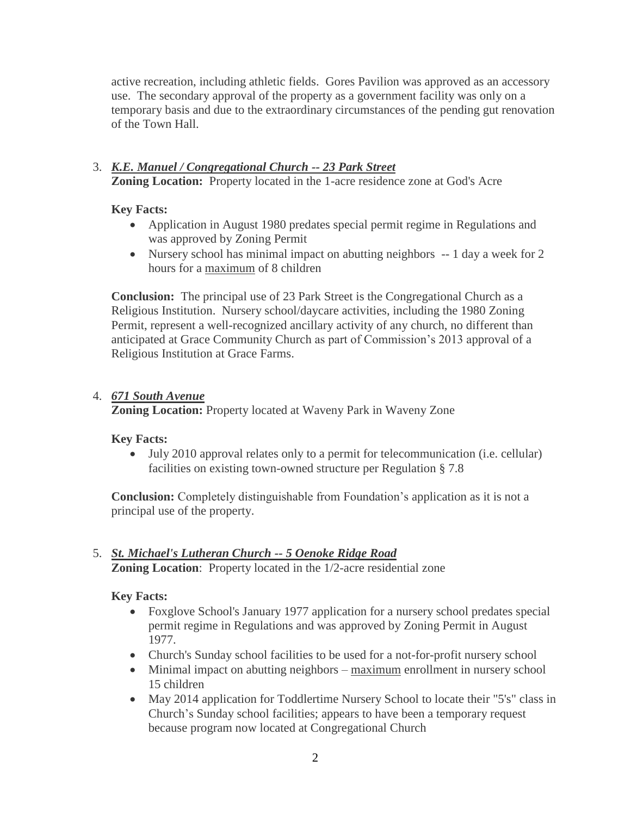active recreation, including athletic fields. Gores Pavilion was approved as an accessory use. The secondary approval of the property as a government facility was only on a temporary basis and due to the extraordinary circumstances of the pending gut renovation of the Town Hall.

#### 3. *K.E. Manuel / Congregational Church -- 23 Park Street* **Zoning Location:** Property located in the 1-acre residence zone at God's Acre

#### **Key Facts:**

- Application in August 1980 predates special permit regime in Regulations and was approved by Zoning Permit
- Nursery school has minimal impact on abutting neighbors -- 1 day a week for 2 hours for a maximum of 8 children

**Conclusion:** The principal use of 23 Park Street is the Congregational Church as a Religious Institution. Nursery school/daycare activities, including the 1980 Zoning Permit, represent a well-recognized ancillary activity of any church, no different than anticipated at Grace Community Church as part of Commission's 2013 approval of a Religious Institution at Grace Farms.

#### 4. *671 South Avenue*

**Zoning Location:** Property located at Waveny Park in Waveny Zone

#### **Key Facts:**

• July 2010 approval relates only to a permit for telecommunication (i.e. cellular) facilities on existing town-owned structure per Regulation § 7.8

**Conclusion:** Completely distinguishable from Foundation's application as it is not a principal use of the property.

#### 5. *St. Michael's Lutheran Church -- 5 Oenoke Ridge Road* **Zoning Location**: Property located in the 1/2-acre residential zone

#### **Key Facts:**

- Foxglove School's January 1977 application for a nursery school predates special permit regime in Regulations and was approved by Zoning Permit in August 1977.
- Church's Sunday school facilities to be used for a not-for-profit nursery school
- Minimal impact on abutting neighbors maximum enrollment in nursery school 15 children
- May 2014 application for Toddlertime Nursery School to locate their "5's" class in Church's Sunday school facilities; appears to have been a temporary request because program now located at Congregational Church